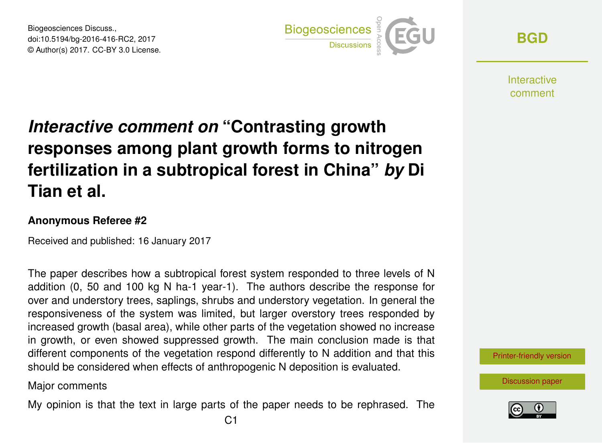Biogeosciences Discuss., doi:10.5194/bg-2016-416-RC2, 2017 © Author(s) 2017. CC-BY 3.0 License.



**[BGD](http://www.biogeosciences-discuss.net/)**

**Interactive** comment

# *Interactive comment on* **"Contrasting growth responses among plant growth forms to nitrogen fertilization in a subtropical forest in China"** *by* **Di Tian et al.**

### **Anonymous Referee #2**

Received and published: 16 January 2017

The paper describes how a subtropical forest system responded to three levels of N addition (0, 50 and 100 kg N ha-1 year-1). The authors describe the response for over and understory trees, saplings, shrubs and understory vegetation. In general the responsiveness of the system was limited, but larger overstory trees responded by increased growth (basal area), while other parts of the vegetation showed no increase in growth, or even showed suppressed growth. The main conclusion made is that different components of the vegetation respond differently to N addition and that this should be considered when effects of anthropogenic N deposition is evaluated.

### Major comments

My opinion is that the text in large parts of the paper needs to be rephrased. The



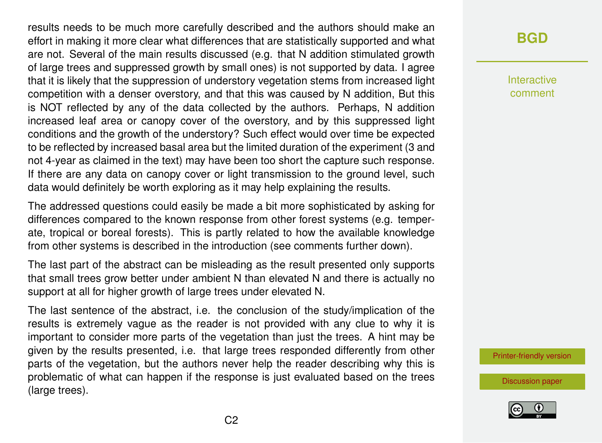results needs to be much more carefully described and the authors should make an effort in making it more clear what differences that are statistically supported and what are not. Several of the main results discussed (e.g. that N addition stimulated growth of large trees and suppressed growth by small ones) is not supported by data. I agree that it is likely that the suppression of understory vegetation stems from increased light competition with a denser overstory, and that this was caused by N addition, But this is NOT reflected by any of the data collected by the authors. Perhaps, N addition increased leaf area or canopy cover of the overstory, and by this suppressed light conditions and the growth of the understory? Such effect would over time be expected to be reflected by increased basal area but the limited duration of the experiment (3 and not 4-year as claimed in the text) may have been too short the capture such response. If there are any data on canopy cover or light transmission to the ground level, such data would definitely be worth exploring as it may help explaining the results.

The addressed questions could easily be made a bit more sophisticated by asking for differences compared to the known response from other forest systems (e.g. temperate, tropical or boreal forests). This is partly related to how the available knowledge from other systems is described in the introduction (see comments further down).

The last part of the abstract can be misleading as the result presented only supports that small trees grow better under ambient N than elevated N and there is actually no support at all for higher growth of large trees under elevated N.

The last sentence of the abstract, i.e. the conclusion of the study/implication of the results is extremely vague as the reader is not provided with any clue to why it is important to consider more parts of the vegetation than just the trees. A hint may be given by the results presented, i.e. that large trees responded differently from other parts of the vegetation, but the authors never help the reader describing why this is problematic of what can happen if the response is just evaluated based on the trees (large trees).

## **[BGD](http://www.biogeosciences-discuss.net/)**

Interactive comment

[Printer-friendly version](http://www.biogeosciences-discuss.net/bg-2016-416/bg-2016-416-RC2-print.pdf)

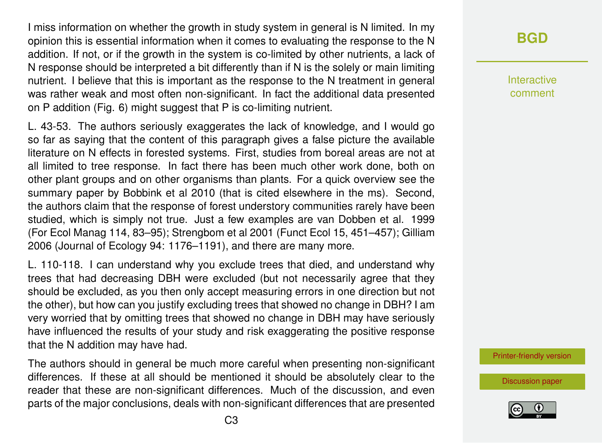I miss information on whether the growth in study system in general is N limited. In my opinion this is essential information when it comes to evaluating the response to the N addition. If not, or if the growth in the system is co-limited by other nutrients, a lack of N response should be interpreted a bit differently than if N is the solely or main limiting nutrient. I believe that this is important as the response to the N treatment in general was rather weak and most often non-significant. In fact the additional data presented on P addition (Fig. 6) might suggest that P is co-limiting nutrient.

L. 43-53. The authors seriously exaggerates the lack of knowledge, and I would go so far as saying that the content of this paragraph gives a false picture the available literature on N effects in forested systems. First, studies from boreal areas are not at all limited to tree response. In fact there has been much other work done, both on other plant groups and on other organisms than plants. For a quick overview see the summary paper by Bobbink et al 2010 (that is cited elsewhere in the ms). Second, the authors claim that the response of forest understory communities rarely have been studied, which is simply not true. Just a few examples are van Dobben et al. 1999 (For Ecol Manag 114, 83–95); Strengbom et al 2001 (Funct Ecol 15, 451–457); Gilliam 2006 (Journal of Ecology 94: 1176–1191), and there are many more.

L. 110-118. I can understand why you exclude trees that died, and understand why trees that had decreasing DBH were excluded (but not necessarily agree that they should be excluded, as you then only accept measuring errors in one direction but not the other), but how can you justify excluding trees that showed no change in DBH? I am very worried that by omitting trees that showed no change in DBH may have seriously have influenced the results of your study and risk exaggerating the positive response that the N addition may have had.

The authors should in general be much more careful when presenting non-significant differences. If these at all should be mentioned it should be absolutely clear to the reader that these are non-significant differences. Much of the discussion, and even parts of the major conclusions, deals with non-significant differences that are presented

# **[BGD](http://www.biogeosciences-discuss.net/)**

Interactive comment

[Printer-friendly version](http://www.biogeosciences-discuss.net/bg-2016-416/bg-2016-416-RC2-print.pdf)

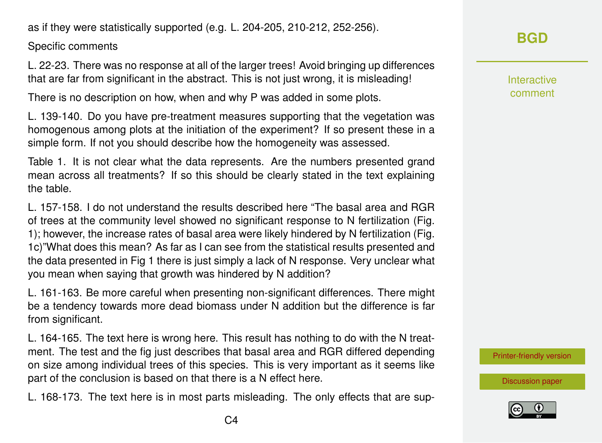as if they were statistically supported (e.g. L. 204-205, 210-212, 252-256).

Specific comments

L. 22-23. There was no response at all of the larger trees! Avoid bringing up differences that are far from significant in the abstract. This is not just wrong, it is misleading!

There is no description on how, when and why P was added in some plots.

L. 139-140. Do you have pre-treatment measures supporting that the vegetation was homogenous among plots at the initiation of the experiment? If so present these in a simple form. If not you should describe how the homogeneity was assessed.

Table 1. It is not clear what the data represents. Are the numbers presented grand mean across all treatments? If so this should be clearly stated in the text explaining the table.

L. 157-158. I do not understand the results described here "The basal area and RGR of trees at the community level showed no significant response to N fertilization (Fig. 1); however, the increase rates of basal area were likely hindered by N fertilization (Fig. 1c)"What does this mean? As far as I can see from the statistical results presented and the data presented in Fig 1 there is just simply a lack of N response. Very unclear what you mean when saying that growth was hindered by N addition?

L. 161-163. Be more careful when presenting non-significant differences. There might be a tendency towards more dead biomass under N addition but the difference is far from significant.

L. 164-165. The text here is wrong here. This result has nothing to do with the N treatment. The test and the fig just describes that basal area and RGR differed depending on size among individual trees of this species. This is very important as it seems like part of the conclusion is based on that there is a N effect here.

L. 168-173. The text here is in most parts misleading. The only effects that are sup-

Interactive comment

[Printer-friendly version](http://www.biogeosciences-discuss.net/bg-2016-416/bg-2016-416-RC2-print.pdf)

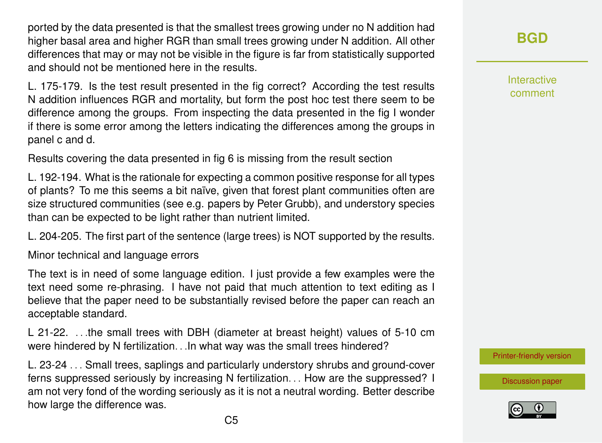ported by the data presented is that the smallest trees growing under no N addition had higher basal area and higher RGR than small trees growing under N addition. All other differences that may or may not be visible in the figure is far from statistically supported and should not be mentioned here in the results.

L. 175-179. Is the test result presented in the fig correct? According the test results N addition influences RGR and mortality, but form the post hoc test there seem to be difference among the groups. From inspecting the data presented in the fig I wonder if there is some error among the letters indicating the differences among the groups in panel c and d.

Results covering the data presented in fig 6 is missing from the result section

L. 192-194. What is the rationale for expecting a common positive response for all types of plants? To me this seems a bit naïve, given that forest plant communities often are size structured communities (see e.g. papers by Peter Grubb), and understory species than can be expected to be light rather than nutrient limited.

L. 204-205. The first part of the sentence (large trees) is NOT supported by the results.

Minor technical and language errors

The text is in need of some language edition. I just provide a few examples were the text need some re-phrasing. I have not paid that much attention to text editing as I believe that the paper need to be substantially revised before the paper can reach an acceptable standard.

L 21-22. ...the small trees with DBH (diameter at breast height) values of 5-10 cm were hindered by N fertilization. . .In what way was the small trees hindered?

L. 23-24 . . . Small trees, saplings and particularly understory shrubs and ground-cover ferns suppressed seriously by increasing N fertilization. . . How are the suppressed? I am not very fond of the wording seriously as it is not a neutral wording. Better describe how large the difference was.

**[BGD](http://www.biogeosciences-discuss.net/)**

Interactive comment

[Printer-friendly version](http://www.biogeosciences-discuss.net/bg-2016-416/bg-2016-416-RC2-print.pdf)